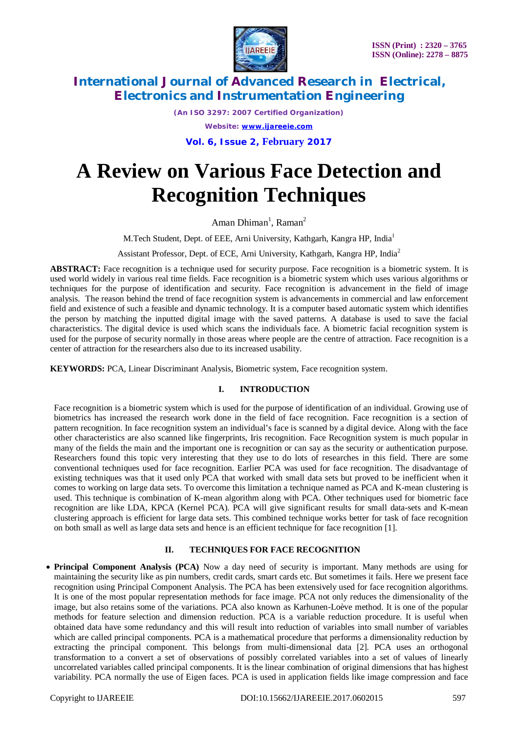

*(An ISO 3297: 2007 Certified Organization) Website: [www.ijareeie.com](http://www.ijareeie.com)*

**Vol. 6, Issue 2, February 2017**

# **A Review on Various Face Detection and Recognition Techniques**

Aman Dhiman<sup>1</sup>, Raman<sup>2</sup>

M.Tech Student, Dept. of EEE, Arni University, Kathgarh, Kangra HP, India<sup>1</sup>

Assistant Professor, Dept. of ECE, Arni University, Kathgarh, Kangra HP, India<sup>2</sup>

ABSTRACT: Face recognition is a technique used for security purpose. Face recognition is a biometric system. It is used world widely in various real time fields. Face recognition is a biometric system which uses various algorithms or techniques for the purpose of identification and security. Face recognition is advancement in the field of image analysis. The reason behind the trend of face recognition system is advancements in commercial and law enforcement field and existence of such a feasible and dynamic technology. It is a computer based automatic system which identifies the person by matching the inputted digital image with the saved patterns. A database is used to save the facial characteristics. The digital device is used which scans the individuals face. A biometric facial recognition system is used for the purpose of security normally in those areas where people are the centre of attraction. Face recognition is a center of attraction for the researchers also due to its increased usability.

**KEYWORDS:** PCA, Linear Discriminant Analysis, Biometric system, Face recognition system.

## **I. INTRODUCTION**

Face recognition is a biometric system which is used for the purpose of identification of an individual. Growing use of biometrics has increased the research work done in the field of face recognition. Face recognition is a section of pattern recognition. In face recognition system an individual's face is scanned by a digital device. Along with the face other characteristics are also scanned like fingerprints, Iris recognition. Face Recognition system is much popular in many of the fields the main and the important one is recognition or can say as the security or authentication purpose. Researchers found this topic very interesting that they use to do lots of researches in this field. There are some conventional techniques used for face recognition. Earlier PCA was used for face recognition. The disadvantage of existing techniques was that it used only PCA that worked with small data sets but proved to be inefficient when it comes to working on large data sets. To overcome this limitation a technique named as PCA and K-mean clustering is used. This technique is combination of K-mean algorithm along with PCA. Other techniques used for biometric face recognition are like LDA, KPCA (Kernel PCA). PCA will give significant results for small data-sets and K-mean clustering approach is efficient for large data sets. This combined technique works better for task of face recognition on both small as well as large data sets and hence is an efficient technique for face recognition [1].

### **II. TECHNIQUES FOR FACE RECOGNITION**

 **Principal Component Analysis (PCA)** Now a day need of security is important. Many methods are using for maintaining the security like as pin numbers, credit cards, smart cards etc. But sometimes it fails. Here we present face recognition using Principal Component Analysis. The PCA has been extensively used for face recognition algorithms. It is one of the most popular representation methods for face image. PCA not only reduces the dimensionality of the image, but also retains some of the variations. PCA also known as Karhunen-Loève method. It is one of the popular methods for feature selection and dimension reduction. PCA is a variable reduction procedure. It is useful when obtained data have some redundancy and this will result into reduction of variables into small number of variables which are called principal components. PCA is a mathematical procedure that performs a dimensionality reduction by extracting the principal component. This belongs from multi-dimensional data [2]. PCA uses an orthogonal transformation to a convert a set of observations of possibly correlated variables into a set of values of linearly uncorrelated variables called principal components. It is the linear combination of original dimensions that has highest variability. PCA normally the use of Eigen faces. PCA is used in application fields like image compression and face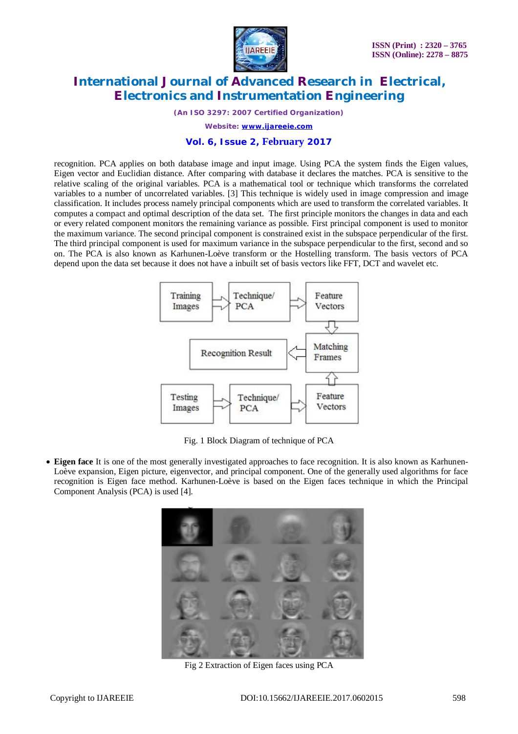

*(An ISO 3297: 2007 Certified Organization)*

*Website: [www.ijareeie.com](http://www.ijareeie.com)*

#### **Vol. 6, Issue 2, February 2017**

recognition. PCA applies on both database image and input image. Using PCA the system finds the Eigen values, Eigen vector and Euclidian distance. After comparing with database it declares the matches. PCA is sensitive to the relative scaling of the original variables. PCA is a mathematical tool or technique which transforms the correlated variables to a number of uncorrelated variables. [3] This technique is widely used in image compression and image classification. It includes process namely principal components which are used to transform the correlated variables. It computes a compact and optimal description of the data set. The first principle monitors the changes in data and each or every related component monitors the remaining variance as possible. First principal component is used to monitor the maximum variance. The second principal component is constrained exist in the subspace perpendicular of the first. The third principal component is used for maximum variance in the subspace perpendicular to the first, second and so on. The PCA is also known as Karhunen-Loève transform or the Hostelling transform. The basis vectors of PCA depend upon the data set because it does not have a inbuilt set of basis vectors like FFT, DCT and wavelet etc.



Fig. 1 Block Diagram of technique of PCA

 **Eigen face** It is one of the most generally investigated approaches to face recognition. It is also known as Karhunen-Loève expansion, Eigen picture, eigenvector, and principal component. One of the generally used algorithms for face recognition is Eigen face method. Karhunen-Loève is based on the Eigen faces technique in which the Principal Component Analysis (PCA) is used [4].



Fig 2 Extraction of Eigen faces using PCA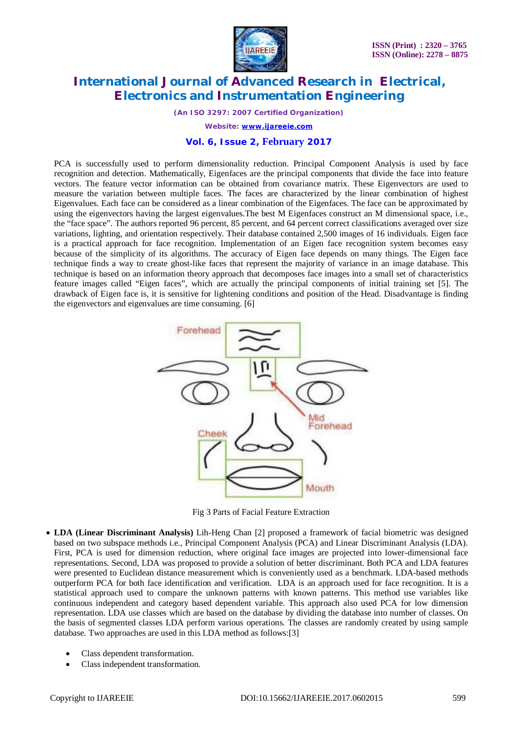

*(An ISO 3297: 2007 Certified Organization)*

*Website: [www.ijareeie.com](http://www.ijareeie.com)*

#### **Vol. 6, Issue 2, February 2017**

PCA is successfully used to perform dimensionality reduction. Principal Component Analysis is used by face recognition and detection. Mathematically, Eigenfaces are the principal components that divide the face into feature vectors. The feature vector information can be obtained from covariance matrix. These Eigenvectors are used to measure the variation between multiple faces. The faces are characterized by the linear combination of highest Eigenvalues. Each face can be considered as a linear combination of the Eigenfaces. The face can be approximated by using the eigenvectors having the largest eigenvalues.The best M Eigenfaces construct an M dimensional space, i.e., the "face space". The authors reported 96 percent, 85 percent, and 64 percent correct classifications averaged over size variations, lighting, and orientation respectively. Their database contained 2,500 images of 16 individuals. Eigen face is a practical approach for face recognition. Implementation of an Eigen face recognition system becomes easy because of the simplicity of its algorithms. The accuracy of Eigen face depends on many things. The Eigen face technique finds a way to create ghost-like faces that represent the majority of variance in an image database. This technique is based on an information theory approach that decomposes face images into a small set of characteristics feature images called "Eigen faces", which are actually the principal components of initial training set [5]. The drawback of Eigen face is, it is sensitive for lightening conditions and position of the Head. Disadvantage is finding the eigenvectors and eigenvalues are time consuming. [6]



Fig 3 Parts of Facial Feature Extraction

- **LDA (Linear Discriminant Analysis)** Lih-Heng Chan [2] proposed a framework of facial biometric was designed based on two subspace methods i.e., Principal Component Analysis (PCA) and Linear Discriminant Analysis (LDA). First, PCA is used for dimension reduction, where original face images are projected into lower-dimensional face representations. Second, LDA was proposed to provide a solution of better discriminant. Both PCA and LDA features were presented to Euclidean distance measurement which is conveniently used as a benchmark. LDA-based methods outperform PCA for both face identification and verification. LDA is an approach used for face recognition. It is a statistical approach used to compare the unknown patterns with known patterns. This method use variables like continuous independent and category based dependent variable. This approach also used PCA for low dimension representation. LDA use classes which are based on the database by dividing the database into number of classes. On the basis of segmented classes LDA perform various operations. The classes are randomly created by using sample database. Two approaches are used in this LDA method as follows:[3]
	- Class dependent transformation.
	- Class independent transformation.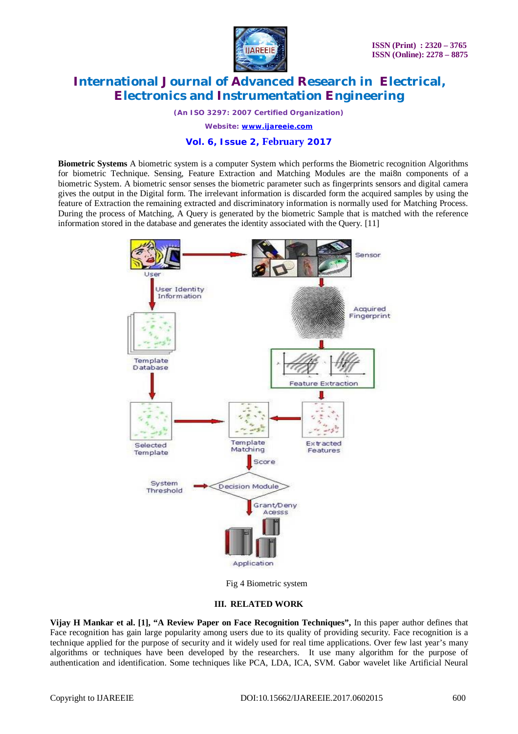

*(An ISO 3297: 2007 Certified Organization)*

*Website: [www.ijareeie.com](http://www.ijareeie.com)*

## **Vol. 6, Issue 2, February 2017**

**Biometric Systems** A biometric system is a computer System which performs the Biometric recognition Algorithms for biometric Technique. Sensing, Feature Extraction and Matching Modules are the mai8n components of a biometric System. A biometric sensor senses the biometric parameter such as fingerprints sensors and digital camera gives the output in the Digital form. The irrelevant information is discarded form the acquired samples by using the feature of Extraction the remaining extracted and discriminatory information is normally used for Matching Process. During the process of Matching, A Query is generated by the biometric Sample that is matched with the reference information stored in the database and generates the identity associated with the Query. [11]



Fig 4 Biometric system

#### **III. RELATED WORK**

**Vijay H Mankar et al. [1], "A Review Paper on Face Recognition Techniques",** In this paper author defines that Face recognition has gain large popularity among users due to its quality of providing security. Face recognition is a technique applied for the purpose of security and it widely used for real time applications. Over few last year's many algorithms or techniques have been developed by the researchers. It use many algorithm for the purpose of authentication and identification. Some techniques like PCA, LDA, ICA, SVM. Gabor wavelet like Artificial Neural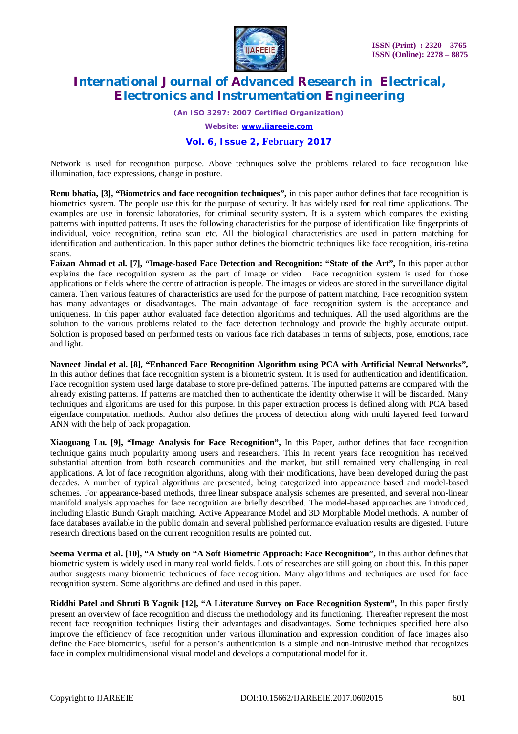

*(An ISO 3297: 2007 Certified Organization)*

*Website: [www.ijareeie.com](http://www.ijareeie.com)*

### **Vol. 6, Issue 2, February 2017**

Network is used for recognition purpose. Above techniques solve the problems related to face recognition like illumination, face expressions, change in posture.

**Renu bhatia, [3], "Biometrics and face recognition techniques",** in this paper author defines that face recognition is biometrics system. The people use this for the purpose of security. It has widely used for real time applications. The examples are use in forensic laboratories, for criminal security system. It is a system which compares the existing patterns with inputted patterns. It uses the following characteristics for the purpose of identification like fingerprints of individual, voice recognition, retina scan etc. All the biological characteristics are used in pattern matching for identification and authentication. In this paper author defines the biometric techniques like face recognition, iris-retina scans.

**Faizan Ahmad et al. [7], "Image-based Face Detection and Recognition: "State of the Art",** In this paper author explains the face recognition system as the part of image or video. Face recognition system is used for those applications or fields where the centre of attraction is people. The images or videos are stored in the surveillance digital camera. Then various features of characteristics are used for the purpose of pattern matching. Face recognition system has many advantages or disadvantages. The main advantage of face recognition system is the acceptance and uniqueness. In this paper author evaluated face detection algorithms and techniques. All the used algorithms are the solution to the various problems related to the face detection technology and provide the highly accurate output. Solution is proposed based on performed tests on various face rich databases in terms of subjects, pose, emotions, race and light.

**Navneet Jindal et al. [8], "Enhanced Face Recognition Algorithm using PCA with Artificial Neural Networks",** In this author defines that face recognition system is a biometric system. It is used for authentication and identification. Face recognition system used large database to store pre-defined patterns. The inputted patterns are compared with the already existing patterns. If patterns are matched then to authenticate the identity otherwise it will be discarded. Many techniques and algorithms are used for this purpose. In this paper extraction process is defined along with PCA based eigenface computation methods. Author also defines the process of detection along with multi layered feed forward ANN with the help of back propagation.

**Xiaoguang Lu. [9], "Image Analysis for Face Recognition",** In this Paper, author defines that face recognition technique gains much popularity among users and researchers. This In recent years face recognition has received substantial attention from both research communities and the market, but still remained very challenging in real applications. A lot of face recognition algorithms, along with their modifications, have been developed during the past decades. A number of typical algorithms are presented, being categorized into appearance based and model-based schemes. For appearance-based methods, three linear subspace analysis schemes are presented, and several non-linear manifold analysis approaches for face recognition are briefly described. The model-based approaches are introduced, including Elastic Bunch Graph matching, Active Appearance Model and 3D Morphable Model methods. A number of face databases available in the public domain and several published performance evaluation results are digested. Future research directions based on the current recognition results are pointed out.

**Seema Verma et al. [10], "A Study on "A Soft Biometric Approach: Face Recognition",** In this author defines that biometric system is widely used in many real world fields. Lots of researches are still going on about this. In this paper author suggests many biometric techniques of face recognition. Many algorithms and techniques are used for face recognition system. Some algorithms are defined and used in this paper.

**Riddhi Patel and Shruti B Yagnik [12], "A Literature Survey on Face Recognition System",** In this paper firstly present an overview of face recognition and discuss the methodology and its functioning. Thereafter represent the most recent face recognition techniques listing their advantages and disadvantages. Some techniques specified here also improve the efficiency of face recognition under various illumination and expression condition of face images also define the Face biometrics, useful for a person's authentication is a simple and non-intrusive method that recognizes face in complex multidimensional visual model and develops a computational model for it.